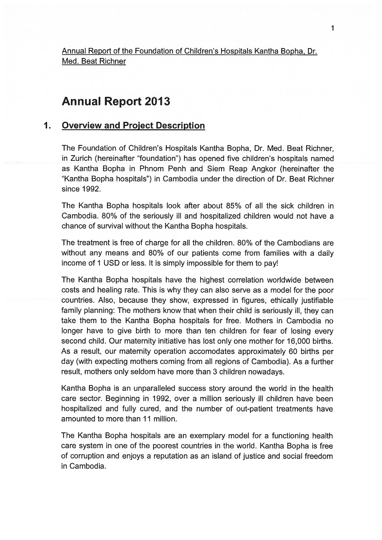Annual Report of the Foundation of Children's Hospitals Kantha Bopha, Dr. Med. Beat Richner

# Annual Report 2013

#### $1<sub>1</sub>$ Overview and Project Description

The Foundation of Children's Hospitals Kantha Bopha, Dr. Med. Beat Richner, in Zurich (hereinafter "foundation") has opened five children's hospitals named as Kantha Bopha in Phnom Penh and Siem Reap Angkor (hereinafter the "Kantha Bopha hospitals") in Cambodia under the direction of Dr. Beat Richner since 1992.

The Kantha Bopha hospitals look after about 85% of all the sick children in Cambodia. 80% of the seriously ill and hospitalized children would not have <sup>a</sup> chance of survival without the Kantha Bopha hospitals.

The treatment is free of charge for all the children. 80% of the Cambodians are without any means and 80% of our patients come from families with <sup>a</sup> daily income of 1 USD or less. It is simply impossible for them to pay!

The Kantha Bopha hospitals have the highest correlation worldwide between costs and healing rate. This is why they can also serve as <sup>a</sup> model for the poor countries. Also, because they show, expressed in figures, ethically justifiable family planning: The mothers know that when their child is seriously ill, they can take them to the Kantha Bopha hospitals for free. Mothers in Cambodia no longer have to give birth to more than ten children for fear of losing every second child. Our maternity initiative has lost only one mother for 16,000 births. As <sup>a</sup> result, our maternity operation accomodates approximately 60 births per day (with expecting mothers coming from all regions of Cambodia). As <sup>a</sup> further result, mothers only seldom have more than 3 children nowadays.

Kantha Bopha is an unparalleled success story around the world in the health care sector. Beginning in 1992, over <sup>a</sup> million seriously ill children have been hospitalized and fully cured, and the number of out-patient treatments have amounted to more than 11 million.

The Kantha Bopha hospitals are an exemplary model for <sup>a</sup> functioning health care system in one of the poores<sup>t</sup> countries in the world. Kantha Bopha is free of corruption and enjoys <sup>a</sup> reputation as an island of justice and social freedom in Cambodia.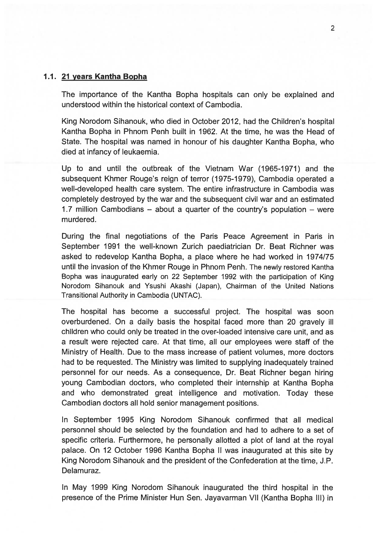#### 1.1. 21 years Kantha Bopha

The importance of the Kantha Bopha hospitals can only be explained and understood within the historical context of Cambodia.

King Norodom Sihanouk, who died in October 2012, had the Children's hospital Kantha Bopha in Phnom Penh built in 1962. At the time, he was the Head of State. The hospital was named in honour of his daughter Kantha Bopha, who died at infancy of leukaemia.

Up to and until the outbreak of the Vietnam War (1965-1971) and the subsequent Khmer Rouge's reign of terror (1975-1979), Cambodia operated a well-developed health care system. The entire infrastructure in Cambodia was completely destroyed by the war and the subsequent civil war and an estimated 1.7 million Cambodians — about <sup>a</sup> quarter of the country's population — were murdered.

During the final negotiations of the Paris Peace Agreement in Paris in September 1991 the well-known Zurich paediatrician Dr. Beat Richner was asked to redevelop Kantha Bopha, <sup>a</sup> place where he had worked in 1974/75 until the invasion of the Khmer Rouge in Phnom Penh. The newly restored Kantha Bopha was inaugurated early on 22 September 1992 with the participation of King Norodom Sihanouk and Ysushi Akashi (Japan), Chairman of the United Nations Transitional Authority in Cambodia (UNTAC).

The hospital has become <sup>a</sup> successful project. The hospital was soon overburdened. On <sup>a</sup> daily basis the hospital faced more than 20 gravely ill children who could only be treated in the over-loaded intensive care unit, and as <sup>a</sup> result were rejected care. At that time, all our employees were staff of the Ministry of Health. Due to the mass increase of patient volumes, more doctors had to be requested. The Ministry was limited to supplying inadequately trained personnel for our needs. As <sup>a</sup> consequence, Dr. Beat Richner began hiring young Cambodian doctors, who completed their internship at Kantha Bopha and who demonstrated grea<sup>t</sup> intelligence and motivation. Today these Cambodian doctors all hold senior managemen<sup>t</sup> positions.

In September 1995 King Norodom Sihanouk confirmed that all medical personnel should be selected by the foundation and had to adhere to <sup>a</sup> set of specific criteria. Furthermore, he personally allotted <sup>a</sup> plot of land at the royal palace. On 12 October 1996 Kantha Bopha II was inaugurated at this site by King Norodom Sihanouk and the president of the Confederation at the time, J.P. Delamuraz.

In May 1999 King Norodom Sihanouk inaugurated the third hospital in the presence of the Prime Minister Hun Sen. Jayavarman VII (Kantha Bopha Ill) in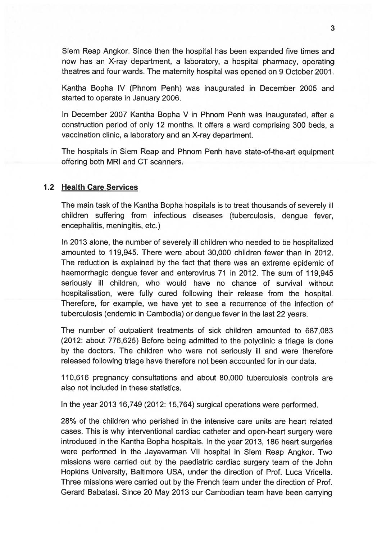Siem Reap Angkor. Since then the hospital has been expanded five times and now has an X-ray department, <sup>a</sup> laboratory, <sup>a</sup> hospital pharmacy, operating theatres and four wards. The maternity hospital was opened on 9 October 2001.

Kantha Bopha IV (Phnom Penh) was inaugurated in December 2005 and started to operate in January 2006.

In December 2007 Kantha Bopha V in Phnom Penh was inaugurated, after <sup>a</sup> construction period of only 12 months. It offers <sup>a</sup> ward comprising 300 beds, <sup>a</sup> vaccination clinic, <sup>a</sup> laboratory and an X-ray department.

The hospitals in Siem Reap and Phnom Penh have state-of-the-art equipment offering both MRI and CT scanners.

#### 1.2 Health Care Services

The main task of the Kantha Bopha hospitals is to treat thousands of severely ill children suffering from infectious diseases (tuberculosis, dengue fever, encephalitis, meningitis, etc.)

In 2013 alone, the number of severely ill children who needed to be hospitalized amounted to 119,945. There were about 30,000 children fewer than in 2012. The reduction is explained by the fact that there was an extreme epidemic of haemorrhagic dengue fever and enterovirus 71 in 2012. The sum of 119,945 seriously ill children, who would have no chance of survival without hospitalisation, were fully cured following their release from the hospital. Therefore, for example, we have ye<sup>t</sup> to see <sup>a</sup> recurrence of the infection of tuberculosis (endemic in Cambodia) or dengue fever in the last 22 years.

The number of outpatient treatments of sick children amounted to 687,083 (2012: about 776,625) Before being admitted to the polyclinic <sup>a</sup> triage is done by the doctors. The children who were not seriously ill and were therefore released following triage have therefore not been accounted for in our data.

110,616 pregnancy consultations and about 80,000 tuberculosis controls are also not included in these statistics.

In the year 2013 16,749 (2012: 15,764) surgical operations were performed.

28% of the children who perished in the intensive care units are heart related cases. This is why interventional cardiac catheter and open-heart surgery were introduced in the Kantha Bopha hospitals. In the year 2013, 186 heart surgeries were performed in the Jayavarman VII hospital in Siem Reap Angkor. Two missions were carried out by the paediatric cardiac surgery team of the John Hopkins University, Baltimore USA, under the direction of Prof. Luca Vricella. Three missions were carried out by the French team under the direction of Prof. Gerard Babatasi. Since 20 May 2013 our Cambodian team have been carrying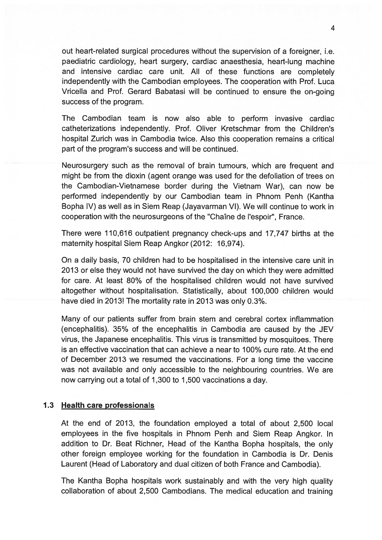out heart-related surgical procedures without the supervision of <sup>a</sup> foreigner, i.e. paediatric cardiology, heart surgery, cardiac anaesthesia, heart-lung machine and intensive cardiac care unit. All of these functions are completely independently with the Cambodian employees. The cooperation with Prof. Luca Vricella and Prof. Gerard Babatasi will be continued to ensure the on-going success of the program.

The Cambodian team is now also able to perform invasive cardiac catheterizations independently. Prof. Oliver Kretschmar from the Children's hospital Zurich was in Cambodia twice. Also this cooperation remains <sup>a</sup> critical par<sup>t</sup> of the program's success and will be continued.

Neurosurgery such as the removal of brain tumours, which are frequent and might be from the dioxin (agent orange was used for the defoliation of trees on the Cambodian-Vietnamese border during the Vietnam War), can now be performed independently by our Cambodian team in Phnom Penh (Kantha Bopha IV) as well as in Siem Reap (Jayavarman VI). We will continue to work in cooperation with the neurosurgeons of the "ChaIne de l'espoir", France.

There were 110,616 outpatient pregnancy check-ups and 17,747 births at the maternity hospital Siem Reap Angkor (2012: 16,974).

On <sup>a</sup> daily basis, 70 children had to be hospitalised in the intensive care unit in 2013 or else they would not have survived the day on which they were admiffed for care. At least 80% of the hospitalised children would not have survived altogether without hospitalisation. Statistically, about 100,000 children would have died in 2013! The mortality rate in 2013 was only 0.3%.

Many of our patients suffer from brain stem and cerebral cortex inflammation (encephalitis). 35% of the encephalitis in Cambodia are caused by the JEV virus, the Japanese encephalitis. This virus is transmitted by mosquitoes. There is an effective vaccination that can achieve <sup>a</sup> near to 100% cure rate. At the end of December 2013 we resumed the vaccinations. For <sup>a</sup> long time the vaccine was not available and only accessible to the neighbouring countries. We are now carrying out <sup>a</sup> total of 1,300 to 1,500 vaccinations <sup>a</sup> day.

### 1.3 Health care professionals

At the end of 2013, the foundation employed <sup>a</sup> total of about 2,500 local employees in the five hospitals in Phnom Penh and Siem Reap Angkor. In addition to Dr. Beat Richner, Head of the Kantha Bopha hospitals, the only other foreign employee working for the foundation in Cambodia is Dr. Denis Laurent (Head of Laboratory and dual citizen of both France and Cambodia).

The Kantha Bopha hospitals work sustainably and with the very high quality collaboration of about 2,500 Cambodians. The medical education and training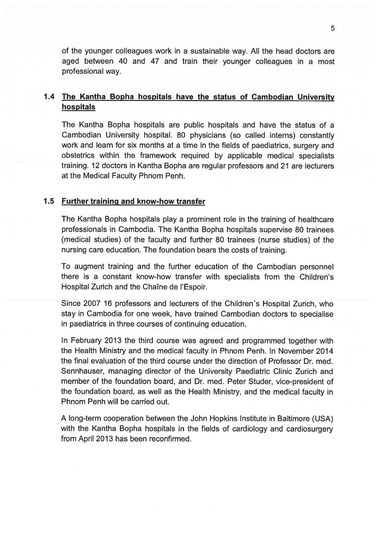of the younger colleagues work in <sup>a</sup> sustainable way. All the head doctors are aged between 40 and 47 and train their younger colleagues in <sup>a</sup> most professional way.

## 1.4 The Kantha Bopha hospitals have the status of Cambodian University hospitals

The Kantha Bopha hospitals are public hospitals and have the status of <sup>a</sup> Cambodian University hospital. 80 <sup>p</sup>hysicians (so called interns) constantly work and learn for six months at <sup>a</sup> time in the fields of paediatrics, surgery and obstetrics within the framework required by applicable medical specialists training. 12 doctors in Kantha Bopha are regular professors and 21 are lecturers at the Medical Faculty Phnom Penh.

#### 1.5 Further training and know-how transfer

The Kantha Bopha hospitals play <sup>a</sup> prominent role in the training of healthcare professionals in Cambodia. The Kantha Bopha hospitals supervise 80 trainees (medical studies) of the faculty and further 80 trainees (nurse studies) of the nursing care education. The foundation bears the costs of training.

To augmen<sup>t</sup> training and the further education of the Cambodian personnel there is <sup>a</sup> constant know-how transfer with specialists from the Children's Hospital Zurich and the Chaîne de l'Espoir.

Since 2007 16 professors and lecturers of the Children's Hospital Zurich, who stay in Cambodia for one week, have trained Cambodian doctors to specialise in paediatrics in three courses of continuing education.

In February 2013 the third course was agreed and programmed together with the Health Ministry and the medical faculty in Phnom Penh. In November 2014 the final evaluation of the third course under the direction of Professor Dr. med. Sennhauser, managing director of the University Paediatric Clinic Zurich and member of the foundation board, and Dr. med. Peter Studer, vice-president of the foundation board, as well as the Health Ministry, and the medical faculty in Phnom Penh will be carried out.

A long-term cooperation between the John Hopkins Institute in Baltimore (USA) with the Kantha Bopha hospitals in the fields of cardiology and cardiosurgery from April 2013 has been reconfirmed.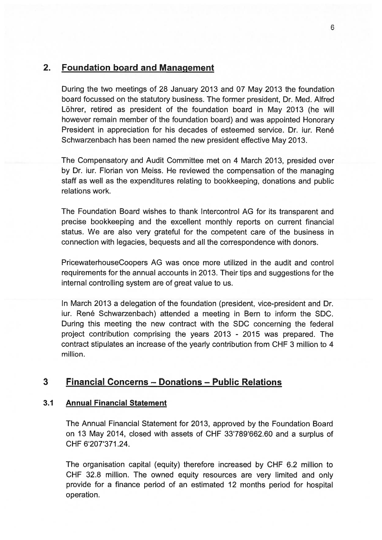## 2. Foundation board and Management

During the two meetings of 28 January 2013 and 07 May 2013 the foundation board focussed on the statutory business. The former president, Dr. Med. Alfred Löhrer, retired as president of the foundation board in May 2013 (he will however remain member of the foundation board) and was appointed Honorary President in appreciation for his decades of esteemed service. Dr. iur. René Schwarzenbach has been named the new president effective May 2013.

The Compensatory and Audit Committee met on 4 March 2013, presided over by Dr. iur. Florian von Meiss. He reviewed the compensation of the managing staff as well as the expenditures relating to bookkeeping, donations and public relations work.

The Foundation Board wishes to thank Intercontrol AG for its transparent and precise bookkeeping and the excellent monthly reports on current financial status. We are also very grateful for the competent care of the business in connection with legacies, bequests and all the correspondence with donors.

PricewaterhouseCoopers AG was once more utilized in the audit and control requirements for the annual accounts in 2013. Their tips and suggestions for the internal controlling system are of grea<sup>t</sup> value to us.

In March 2013 <sup>a</sup> delegation of the foundation (president, vice-president and Dr. iur. René Schwarzenbach) attended <sup>a</sup> meeting in Bern to inform the SDC. During this meeting the new contract with the SDC concerning the federal project contribution comprising the years 2013 - 2015 was prepared. The contract stipulates an increase of the yearly contribution from CHF 3 million to 4 million.

## 3 Financial Concerns — Donations — Public Relations

### 3.1 Annual Financial Statement

The Annual Financial Statement for 2013, approved by the Foundation Board on 13 May 2014, closed with assets of CHF 33'789'662.60 and a surplus of CHF 6'207'371.24.

The organisation capital (equity) therefore increased by CHF 6.2 million to CHF 32.8 million. The owned equity resources are very limited and only provide for <sup>a</sup> finance period of an estimated 12 months period for hospital operation.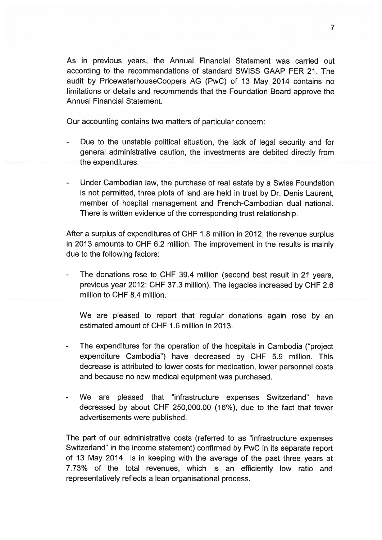As in previous years, the Annual Financial Statement was carried out according to the recommendations of standard SWISS GAAP FER 21. The audit by PricewaterhouseCoopers AG (PwC) of 13 May 2014 contains no limitations or details and recommends that the Foundation Board approve the Annual Financial Statement.

Our accounting contains two matters of particular concern:

- Due to the unstable political situation, the lack of legal security and for general administrative caution, the investments are debited directly from the expenditures.
- Under Cambodian law, the purchase of real estate by <sup>a</sup> Swiss Foundation is not permitted, three plots of land are held in trust by Dr. Denis Laurent, member of hospital managemen<sup>t</sup> and French-Cambodian dual national. There is written evidence of the corresponding trust relationship.

After <sup>a</sup> surplus of expenditures of CHF 1.8 million in 2012, the revenue surplus in 2013 amounts to CHF 6.2 million. The improvement in the results is mainly due to the following factors:

 The donations rose to CHF 39.4 million (second best result in 21 years, previous year 2012: CHF 37.3 million). The legacies increased by CHF 2.6 million to CHF 8.4 million.

We are pleased to repor<sup>t</sup> that regular donations again rose by an estimated amount of CHF 1.6 million in 2013.

- The expenditures for the operation of the hospitals in Cambodia ("project") expenditure Cambodia") have decreased by CHF 5.9 million. This decrease is attributed to lower costs for medication, lower personnel costs and because no new medical equipment was purchased.
- We are pleased that "infrastructure expenses Switzerland" have decreased by about CHF 250,000.00 (16%), due to the fact that fewer advertisements were published.

The par<sup>t</sup> of our administrative costs (referred to as "infrastructure expenses Switzerland" in the income statement) confirmed by PwC in its separate repor<sup>t</sup> of 13 May 2014 is in keeping with the average of the pas<sup>t</sup> three years at 7.73% of the total revenues, which is an efficiently low ratio and representatively reflects <sup>a</sup> lean organisational process.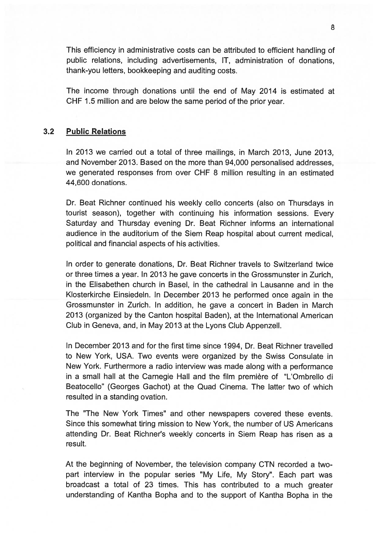This efficiency in administrative costs can be attributed to efficient handling of public relations, including advertisements, IT, administration of donations, thank-you letters, bookkeeping and auditing costs.

The income through donations until the end of May 2014 is estimated at CHF 1.5 million and are below the same period of the prior year.

### 3.2 Public Relations

In 2013 we carried out <sup>a</sup> total of three mailings, in March 2013, June 2013, and November 2013. Based on the more than 94,000 personalised addresses, we generated responses from over CHF 8 million resulting in an estimated 44,600 donations.

Dr. Beat Richner continued his weekly cello concerts (also on Thursdays in tourist season), together with continuing his information sessions. Every Saturday and Thursday evening Dr. Beat Richner informs an international audience in the auditorium of the Siem Reap hospital about current medical, political and financial aspects of his activities.

In order to generate donations, Dr. Beat Richner travels to Switzerland twice or three times <sup>a</sup> year. In 2013 he gave concerts in the Grossmunster in Zurich, in the Elisabethen church in Basel, in the cathedral in Lausanne and in the Klosterkirche Einsiedeln. In December 2013 he performed once again in the Grossmunster in Zurich. In addition, he gave <sup>a</sup> concert in Baden in March 2013 (organized by the Canton hospital Baden), at the International American Club in Geneva, and, in May 2013 at the Lyons Club Appenzell.

In December 2013 and for the first time since 1994, Dr. Beat Richner travelled to New York, USA. Two events were organized by the Swiss Consulate in New York. Furthermore <sup>a</sup> radio interview was made along with <sup>a</sup> performance in a small hall at the Carnegie Hall and the film première of "L'Ombrello di Beatocello" (Georges Gachot) at the Quad Cinema. The latter two of which resulted in <sup>a</sup> standing ovation.

The "The New York Times" and other newspapers covered these events. Since this somewhat tiring mission to New York, the number of US Americans attending Dr. Beat Richner's weekly concerts in Siem Reap has risen as <sup>a</sup> result.

At the beginning of November, the television company CTN recorded <sup>a</sup> two par<sup>t</sup> interview in the popular series "My Life, My Story". Each par<sup>t</sup> was broadcast <sup>a</sup> total of 23 times. This has contributed to <sup>a</sup> much greater understanding of Kantha Bopha and to the suppor<sup>t</sup> of Kantha Bopha in the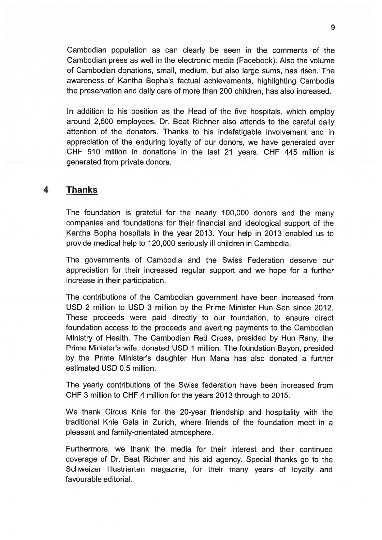Cambodian population as can clearly be seen in the comments of the Cambodian press as well in the electronic media (Facebook). Also the volume of Cambodian donations, small, medium, but also large sums, has risen. The awareness of Kantha Bopha's factual achievements, highlighting Cambodia the preservation and daily care of more than 200 children, has also increased.

In addition to his position as the Head of the five hospitals, which employ around 2,500 employees, Dr. Beat Richner also attends to the careful daily attention of the donators. Thanks to his indefatigable involvement and in appreciation of the enduring loyalty of our donors, we have generated over CHF 510 million in donations in the last 21 years. CHF 445 million is generated from private donors.

## 4 Thanks

The foundation is grateful for the nearly 100,000 donors and the many companies and foundations for their financial and ideological suppor<sup>t</sup> of the Kantha Bopha hospitals in the year 2013. Your help in 2013 enabled us to provide medical help to 120,000 seriously ill children in Cambodia.

The governments of Cambodia and the Swiss Federation deserve our appreciation for their increased regular suppor<sup>t</sup> and we hope for <sup>a</sup> further increase in their participation.

The contributions of the Cambodian governmen<sup>t</sup> have been increased from USD 2 million to USD 3 million by the Prime Minister Hun Sen since 2012. These proceeds were paid directly to our foundation, to ensure direct foundation access to the proceeds and averting payments to the Cambodian Ministry of Health. The Cambodian Red Cross, presided by Hun Rany, the Prime Minister's wife, donated USD <sup>1</sup> million. The foundation Bayon, presided by the Prime Minister's daughter Hun Mana has also donated <sup>a</sup> further estimated USD 0.5 million.

The yearly contributions of the Swiss federation have been increased from CHF 3 million to CHF 4 million for the years 2013 through to 2015.

We thank Circus Knie for the 20-year friendship and hospitality with the traditional Knie Gala in Zurich, where friends of the foundation meet in <sup>a</sup> pleasant and family-orientated atmosphere.

Furthermore, we thank the media for their interest and their continued coverage of Dr. Beat Richner and his aid agency. Special thanks go to the Schweizer Illustrierten magazine, for their many years of loyalty and favourable editorial.